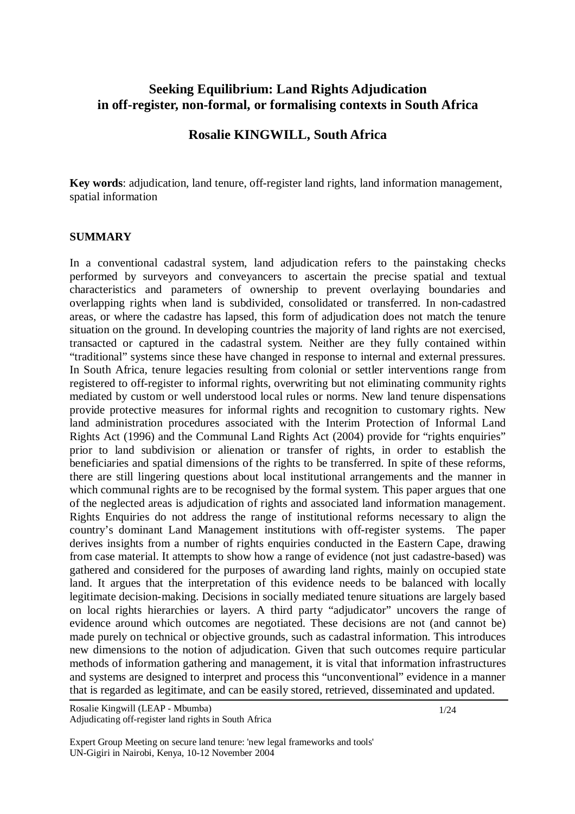# **Seeking Equilibrium: Land Rights Adjudication in off-register, non-formal, or formalising contexts in South Africa**

# **Rosalie KINGWILL, South Africa**

**Key words**: adjudication, land tenure, off-register land rights, land information management, spatial information

#### **SUMMARY**

In a conventional cadastral system, land adjudication refers to the painstaking checks performed by surveyors and conveyancers to ascertain the precise spatial and textual characteristics and parameters of ownership to prevent overlaying boundaries and overlapping rights when land is subdivided, consolidated or transferred. In non-cadastred areas, or where the cadastre has lapsed, this form of adjudication does not match the tenure situation on the ground. In developing countries the majority of land rights are not exercised, transacted or captured in the cadastral system. Neither are they fully contained within "traditional" systems since these have changed in response to internal and external pressures. In South Africa, tenure legacies resulting from colonial or settler interventions range from registered to off-register to informal rights, overwriting but not eliminating community rights mediated by custom or well understood local rules or norms. New land tenure dispensations provide protective measures for informal rights and recognition to customary rights. New land administration procedures associated with the Interim Protection of Informal Land Rights Act (1996) and the Communal Land Rights Act (2004) provide for "rights enquiries" prior to land subdivision or alienation or transfer of rights, in order to establish the beneficiaries and spatial dimensions of the rights to be transferred. In spite of these reforms, there are still lingering questions about local institutional arrangements and the manner in which communal rights are to be recognised by the formal system. This paper argues that one of the neglected areas is adjudication of rights and associated land information management. Rights Enquiries do not address the range of institutional reforms necessary to align the country's dominant Land Management institutions with off-register systems. The paper derives insights from a number of rights enquiries conducted in the Eastern Cape, drawing from case material. It attempts to show how a range of evidence (not just cadastre-based) was gathered and considered for the purposes of awarding land rights, mainly on occupied state land. It argues that the interpretation of this evidence needs to be balanced with locally legitimate decision-making. Decisions in socially mediated tenure situations are largely based on local rights hierarchies or layers. A third party "adjudicator" uncovers the range of evidence around which outcomes are negotiated. These decisions are not (and cannot be) made purely on technical or objective grounds, such as cadastral information. This introduces new dimensions to the notion of adjudication. Given that such outcomes require particular methods of information gathering and management, it is vital that information infrastructures and systems are designed to interpret and process this "unconventional" evidence in a manner that is regarded as legitimate, and can be easily stored, retrieved, disseminated and updated.

Expert Group Meeting on secure land tenure: 'new legal frameworks and tools' UN-Gigiri in Nairobi, Kenya, 10-12 November 2004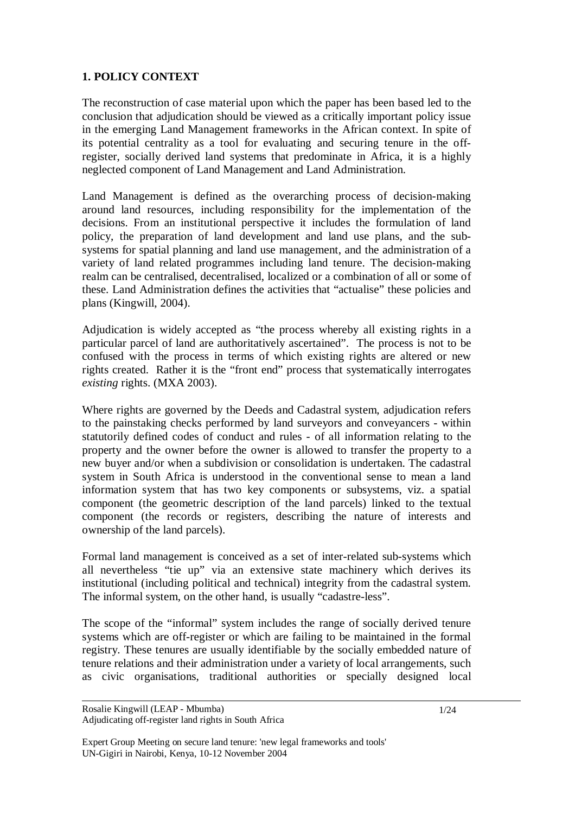# **1. POLICY CONTEXT**

The reconstruction of case material upon which the paper has been based led to the conclusion that adjudication should be viewed as a critically important policy issue in the emerging Land Management frameworks in the African context. In spite of its potential centrality as a tool for evaluating and securing tenure in the offregister, socially derived land systems that predominate in Africa, it is a highly neglected component of Land Management and Land Administration.

Land Management is defined as the overarching process of decision-making around land resources, including responsibility for the implementation of the decisions. From an institutional perspective it includes the formulation of land policy, the preparation of land development and land use plans, and the subsystems for spatial planning and land use management, and the administration of a variety of land related programmes including land tenure. The decision-making realm can be centralised, decentralised, localized or a combination of all or some of these. Land Administration defines the activities that "actualise" these policies and plans (Kingwill, 2004).

Adjudication is widely accepted as "the process whereby all existing rights in a particular parcel of land are authoritatively ascertained". The process is not to be confused with the process in terms of which existing rights are altered or new rights created. Rather it is the "front end" process that systematically interrogates *existing* rights. (MXA 2003).

Where rights are governed by the Deeds and Cadastral system, adjudication refers to the painstaking checks performed by land surveyors and conveyancers - within statutorily defined codes of conduct and rules - of all information relating to the property and the owner before the owner is allowed to transfer the property to a new buyer and/or when a subdivision or consolidation is undertaken. The cadastral system in South Africa is understood in the conventional sense to mean a land information system that has two key components or subsystems, viz. a spatial component (the geometric description of the land parcels) linked to the textual component (the records or registers, describing the nature of interests and ownership of the land parcels).

Formal land management is conceived as a set of inter-related sub-systems which all nevertheless "tie up" via an extensive state machinery which derives its institutional (including political and technical) integrity from the cadastral system. The informal system, on the other hand, is usually "cadastre-less".

The scope of the "informal" system includes the range of socially derived tenure systems which are off-register or which are failing to be maintained in the formal registry. These tenures are usually identifiable by the socially embedded nature of tenure relations and their administration under a variety of local arrangements, such as civic organisations, traditional authorities or specially designed local

Rosalie Kingwill (LEAP - Mbumba) Adjudicating off-register land rights in South Africa

Expert Group Meeting on secure land tenure: 'new legal frameworks and tools' UN-Gigiri in Nairobi, Kenya, 10-12 November 2004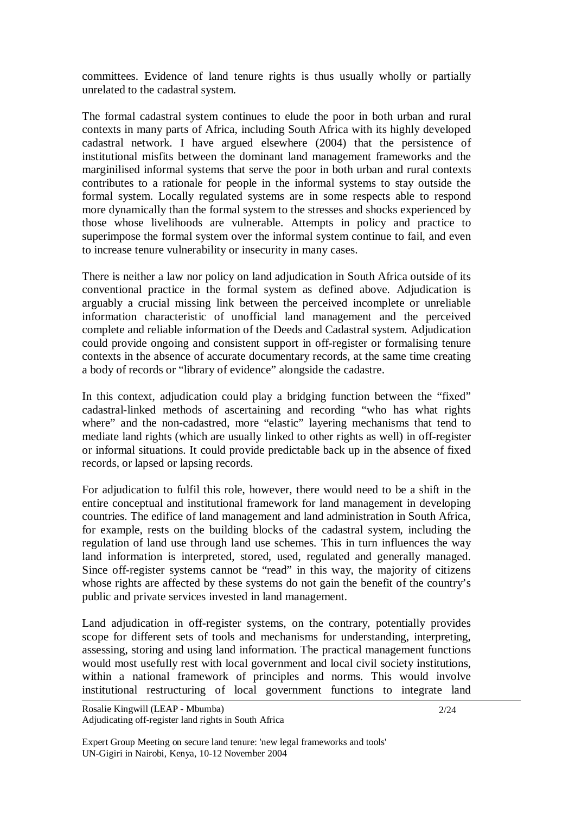committees. Evidence of land tenure rights is thus usually wholly or partially unrelated to the cadastral system.

The formal cadastral system continues to elude the poor in both urban and rural contexts in many parts of Africa, including South Africa with its highly developed cadastral network. I have argued elsewhere (2004) that the persistence of institutional misfits between the dominant land management frameworks and the marginilised informal systems that serve the poor in both urban and rural contexts contributes to a rationale for people in the informal systems to stay outside the formal system. Locally regulated systems are in some respects able to respond more dynamically than the formal system to the stresses and shocks experienced by those whose livelihoods are vulnerable. Attempts in policy and practice to superimpose the formal system over the informal system continue to fail, and even to increase tenure vulnerability or insecurity in many cases.

There is neither a law nor policy on land adjudication in South Africa outside of its conventional practice in the formal system as defined above. Adjudication is arguably a crucial missing link between the perceived incomplete or unreliable information characteristic of unofficial land management and the perceived complete and reliable information of the Deeds and Cadastral system. Adjudication could provide ongoing and consistent support in off-register or formalising tenure contexts in the absence of accurate documentary records, at the same time creating a body of records or "library of evidence" alongside the cadastre.

In this context, adjudication could play a bridging function between the "fixed" cadastral-linked methods of ascertaining and recording "who has what rights where" and the non-cadastred, more "elastic" layering mechanisms that tend to mediate land rights (which are usually linked to other rights as well) in off-register or informal situations. It could provide predictable back up in the absence of fixed records, or lapsed or lapsing records.

For adjudication to fulfil this role, however, there would need to be a shift in the entire conceptual and institutional framework for land management in developing countries. The edifice of land management and land administration in South Africa, for example, rests on the building blocks of the cadastral system, including the regulation of land use through land use schemes. This in turn influences the way land information is interpreted, stored, used, regulated and generally managed. Since off-register systems cannot be "read" in this way, the majority of citizens whose rights are affected by these systems do not gain the benefit of the country's public and private services invested in land management.

Land adjudication in off-register systems, on the contrary, potentially provides scope for different sets of tools and mechanisms for understanding, interpreting, assessing, storing and using land information. The practical management functions would most usefully rest with local government and local civil society institutions, within a national framework of principles and norms. This would involve institutional restructuring of local government functions to integrate land

Expert Group Meeting on secure land tenure: 'new legal frameworks and tools' UN-Gigiri in Nairobi, Kenya, 10-12 November 2004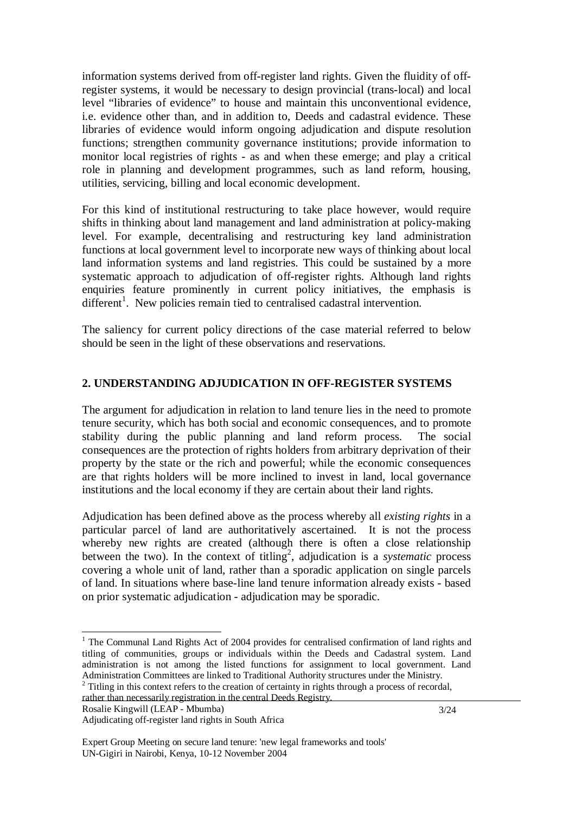information systems derived from off-register land rights. Given the fluidity of offregister systems, it would be necessary to design provincial (trans-local) and local level "libraries of evidence" to house and maintain this unconventional evidence, i.e. evidence other than, and in addition to, Deeds and cadastral evidence. These libraries of evidence would inform ongoing adjudication and dispute resolution functions; strengthen community governance institutions; provide information to monitor local registries of rights - as and when these emerge; and play a critical role in planning and development programmes, such as land reform, housing, utilities, servicing, billing and local economic development.

For this kind of institutional restructuring to take place however, would require shifts in thinking about land management and land administration at policy-making level. For example, decentralising and restructuring key land administration functions at local government level to incorporate new ways of thinking about local land information systems and land registries. This could be sustained by a more systematic approach to adjudication of off-register rights. Although land rights enquiries feature prominently in current policy initiatives, the emphasis is different<sup>1</sup>. New policies remain tied to centralised cadastral intervention.

The saliency for current policy directions of the case material referred to below should be seen in the light of these observations and reservations.

### **2. UNDERSTANDING ADJUDICATION IN OFF-REGISTER SYSTEMS**

The argument for adjudication in relation to land tenure lies in the need to promote tenure security, which has both social and economic consequences, and to promote stability during the public planning and land reform process. The social consequences are the protection of rights holders from arbitrary deprivation of their property by the state or the rich and powerful; while the economic consequences are that rights holders will be more inclined to invest in land, local governance institutions and the local economy if they are certain about their land rights.

Adjudication has been defined above as the process whereby all *existing rights* in a particular parcel of land are authoritatively ascertained. It is not the process whereby new rights are created (although there is often a close relationship between the two). In the context of titling<sup>2</sup>, adjudication is a *systematic* process covering a whole unit of land, rather than a sporadic application on single parcels of land. In situations where base-line land tenure information already exists - based on prior systematic adjudication - adjudication may be sporadic.

-

<sup>&</sup>lt;sup>1</sup> The Communal Land Rights Act of 2004 provides for centralised confirmation of land rights and titling of communities, groups or individuals within the Deeds and Cadastral system. Land administration is not among the listed functions for assignment to local government. Land Administration Committees are linked to Traditional Authority structures under the Ministry.

 $2$  Titling in this context refers to the creation of certainty in rights through a process of recordal, rather than necessarily registration in the central Deeds Registry.

Adjudicating off-register land rights in South Africa

Expert Group Meeting on secure land tenure: 'new legal frameworks and tools' UN-Gigiri in Nairobi, Kenya, 10-12 November 2004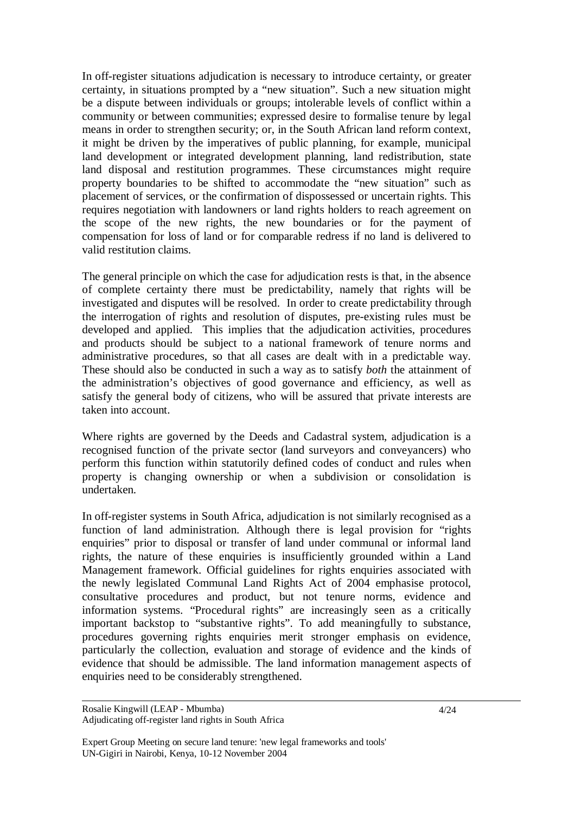In off-register situations adjudication is necessary to introduce certainty, or greater certainty, in situations prompted by a "new situation". Such a new situation might be a dispute between individuals or groups; intolerable levels of conflict within a community or between communities; expressed desire to formalise tenure by legal means in order to strengthen security; or, in the South African land reform context, it might be driven by the imperatives of public planning, for example, municipal land development or integrated development planning, land redistribution, state land disposal and restitution programmes. These circumstances might require property boundaries to be shifted to accommodate the "new situation" such as placement of services, or the confirmation of dispossessed or uncertain rights. This requires negotiation with landowners or land rights holders to reach agreement on the scope of the new rights, the new boundaries or for the payment of compensation for loss of land or for comparable redress if no land is delivered to valid restitution claims.

The general principle on which the case for adjudication rests is that, in the absence of complete certainty there must be predictability, namely that rights will be investigated and disputes will be resolved. In order to create predictability through the interrogation of rights and resolution of disputes, pre-existing rules must be developed and applied. This implies that the adjudication activities, procedures and products should be subject to a national framework of tenure norms and administrative procedures, so that all cases are dealt with in a predictable way. These should also be conducted in such a way as to satisfy *both* the attainment of the administration's objectives of good governance and efficiency, as well as satisfy the general body of citizens, who will be assured that private interests are taken into account.

Where rights are governed by the Deeds and Cadastral system, adjudication is a recognised function of the private sector (land surveyors and conveyancers) who perform this function within statutorily defined codes of conduct and rules when property is changing ownership or when a subdivision or consolidation is undertaken.

In off-register systems in South Africa, adjudication is not similarly recognised as a function of land administration. Although there is legal provision for "rights enquiries" prior to disposal or transfer of land under communal or informal land rights, the nature of these enquiries is insufficiently grounded within a Land Management framework. Official guidelines for rights enquiries associated with the newly legislated Communal Land Rights Act of 2004 emphasise protocol, consultative procedures and product, but not tenure norms, evidence and information systems. "Procedural rights" are increasingly seen as a critically important backstop to "substantive rights". To add meaningfully to substance, procedures governing rights enquiries merit stronger emphasis on evidence, particularly the collection, evaluation and storage of evidence and the kinds of evidence that should be admissible. The land information management aspects of enquiries need to be considerably strengthened.

Expert Group Meeting on secure land tenure: 'new legal frameworks and tools' UN-Gigiri in Nairobi, Kenya, 10-12 November 2004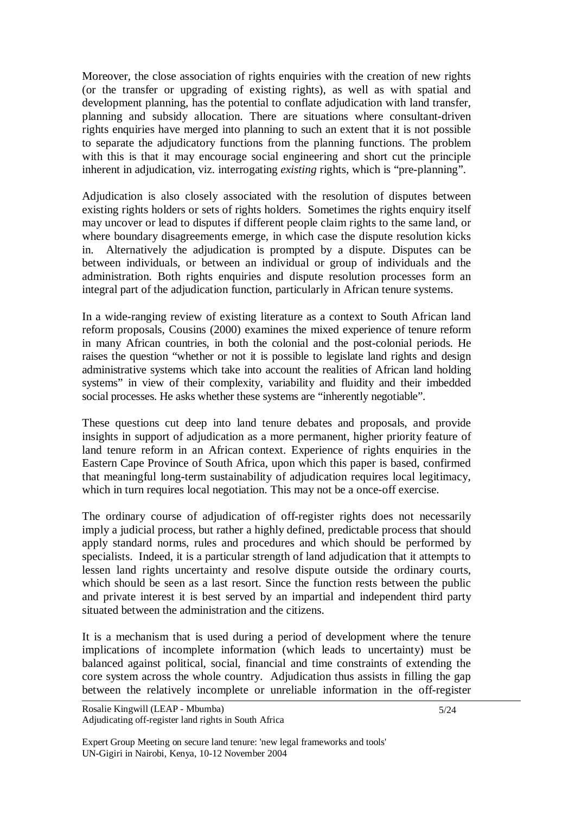Moreover, the close association of rights enquiries with the creation of new rights (or the transfer or upgrading of existing rights), as well as with spatial and development planning, has the potential to conflate adjudication with land transfer, planning and subsidy allocation. There are situations where consultant-driven rights enquiries have merged into planning to such an extent that it is not possible to separate the adjudicatory functions from the planning functions. The problem with this is that it may encourage social engineering and short cut the principle inherent in adjudication, viz. interrogating *existing* rights, which is "pre-planning".

Adjudication is also closely associated with the resolution of disputes between existing rights holders or sets of rights holders. Sometimes the rights enquiry itself may uncover or lead to disputes if different people claim rights to the same land, or where boundary disagreements emerge, in which case the dispute resolution kicks in. Alternatively the adjudication is prompted by a dispute. Disputes can be between individuals, or between an individual or group of individuals and the administration. Both rights enquiries and dispute resolution processes form an integral part of the adjudication function, particularly in African tenure systems.

In a wide-ranging review of existing literature as a context to South African land reform proposals, Cousins (2000) examines the mixed experience of tenure reform in many African countries, in both the colonial and the post-colonial periods. He raises the question "whether or not it is possible to legislate land rights and design administrative systems which take into account the realities of African land holding systems" in view of their complexity, variability and fluidity and their imbedded social processes. He asks whether these systems are "inherently negotiable".

These questions cut deep into land tenure debates and proposals, and provide insights in support of adjudication as a more permanent, higher priority feature of land tenure reform in an African context. Experience of rights enquiries in the Eastern Cape Province of South Africa, upon which this paper is based, confirmed that meaningful long-term sustainability of adjudication requires local legitimacy, which in turn requires local negotiation. This may not be a once-off exercise.

The ordinary course of adjudication of off-register rights does not necessarily imply a judicial process, but rather a highly defined, predictable process that should apply standard norms, rules and procedures and which should be performed by specialists. Indeed, it is a particular strength of land adjudication that it attempts to lessen land rights uncertainty and resolve dispute outside the ordinary courts, which should be seen as a last resort. Since the function rests between the public and private interest it is best served by an impartial and independent third party situated between the administration and the citizens.

It is a mechanism that is used during a period of development where the tenure implications of incomplete information (which leads to uncertainty) must be balanced against political, social, financial and time constraints of extending the core system across the whole country. Adjudication thus assists in filling the gap between the relatively incomplete or unreliable information in the off-register

Expert Group Meeting on secure land tenure: 'new legal frameworks and tools' UN-Gigiri in Nairobi, Kenya, 10-12 November 2004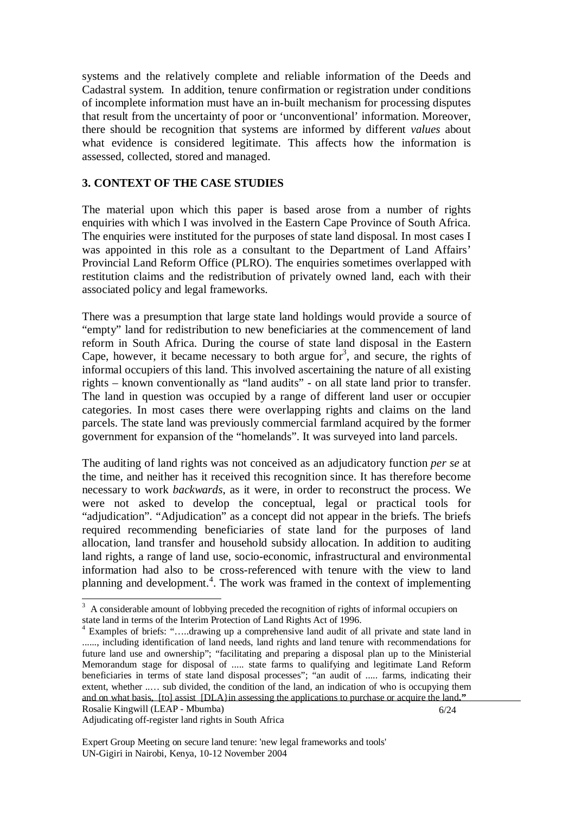systems and the relatively complete and reliable information of the Deeds and Cadastral system. In addition, tenure confirmation or registration under conditions of incomplete information must have an in-built mechanism for processing disputes that result from the uncertainty of poor or 'unconventional' information. Moreover, there should be recognition that systems are informed by different *values* about what evidence is considered legitimate. This affects how the information is assessed, collected, stored and managed.

### **3. CONTEXT OF THE CASE STUDIES**

The material upon which this paper is based arose from a number of rights enquiries with which I was involved in the Eastern Cape Province of South Africa. The enquiries were instituted for the purposes of state land disposal. In most cases I was appointed in this role as a consultant to the Department of Land Affairs' Provincial Land Reform Office (PLRO). The enquiries sometimes overlapped with restitution claims and the redistribution of privately owned land, each with their associated policy and legal frameworks.

There was a presumption that large state land holdings would provide a source of "empty" land for redistribution to new beneficiaries at the commencement of land reform in South Africa. During the course of state land disposal in the Eastern Cape, however, it became necessary to both argue for<sup>3</sup>, and secure, the rights of informal occupiers of this land. This involved ascertaining the nature of all existing rights – known conventionally as "land audits" - on all state land prior to transfer. The land in question was occupied by a range of different land user or occupier categories. In most cases there were overlapping rights and claims on the land parcels. The state land was previously commercial farmland acquired by the former government for expansion of the "homelands". It was surveyed into land parcels.

The auditing of land rights was not conceived as an adjudicatory function *per se* at the time, and neither has it received this recognition since. It has therefore become necessary to work *backwards*, as it were, in order to reconstruct the process. We were not asked to develop the conceptual, legal or practical tools for "adjudication". "Adjudication" as a concept did not appear in the briefs. The briefs required recommending beneficiaries of state land for the purposes of land allocation, land transfer and household subsidy allocation. In addition to auditing land rights, a range of land use, socio-economic, infrastructural and environmental information had also to be cross-referenced with tenure with the view to land planning and development.<sup>4</sup>. The work was framed in the context of implementing

Adjudicating off-register land rights in South Africa

<sup>&</sup>lt;sup>3</sup> A considerable amount of lobbying preceded the recognition of rights of informal occupiers on state land in terms of the Interim Protection of Land Rights Act of 1996.

Rosalie Kingwill (LEAP - Mbumba) 6/24 4 Examples of briefs: "…..drawing up a comprehensive land audit of all private and state land in ......, including identification of land needs, land rights and land tenure with recommendations for future land use and ownership"; "facilitating and preparing a disposal plan up to the Ministerial Memorandum stage for disposal of ..... state farms to qualifying and legitimate Land Reform beneficiaries in terms of state land disposal processes"; "an audit of ..... farms, indicating their extent, whether ..… sub divided, the condition of the land, an indication of who is occupying them and on what basis, [to] assist [DLA}in assessing the applications to purchase or acquire the land**."**

Expert Group Meeting on secure land tenure: 'new legal frameworks and tools' UN-Gigiri in Nairobi, Kenya, 10-12 November 2004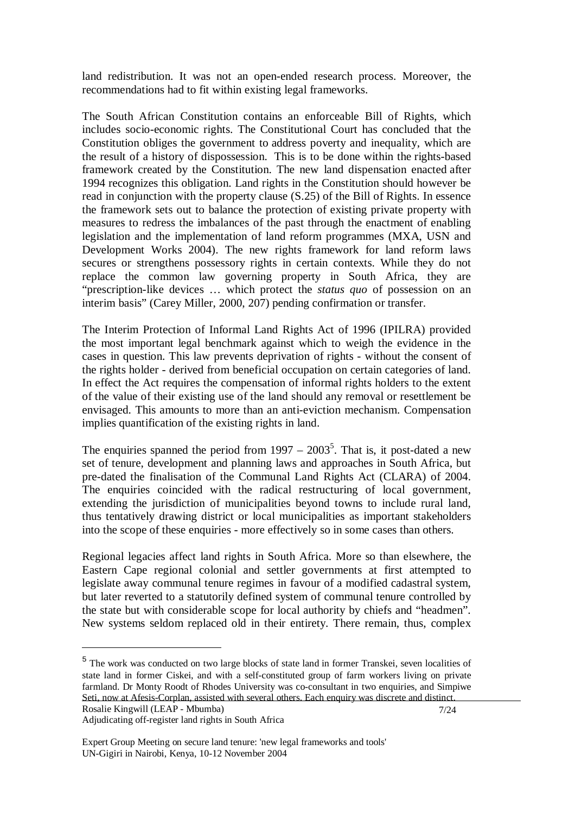land redistribution. It was not an open-ended research process. Moreover, the recommendations had to fit within existing legal frameworks.

The South African Constitution contains an enforceable Bill of Rights, which includes socio-economic rights. The Constitutional Court has concluded that the Constitution obliges the government to address poverty and inequality, which are the result of a history of dispossession. This is to be done within the rights-based framework created by the Constitution. The new land dispensation enacted after 1994 recognizes this obligation. Land rights in the Constitution should however be read in conjunction with the property clause (S.25) of the Bill of Rights. In essence the framework sets out to balance the protection of existing private property with measures to redress the imbalances of the past through the enactment of enabling legislation and the implementation of land reform programmes (MXA, USN and Development Works 2004). The new rights framework for land reform laws secures or strengthens possessory rights in certain contexts. While they do not replace the common law governing property in South Africa, they are "prescription-like devices … which protect the *status quo* of possession on an interim basis" (Carey Miller, 2000, 207) pending confirmation or transfer.

The Interim Protection of Informal Land Rights Act of 1996 (IPILRA) provided the most important legal benchmark against which to weigh the evidence in the cases in question. This law prevents deprivation of rights - without the consent of the rights holder - derived from beneficial occupation on certain categories of land. In effect the Act requires the compensation of informal rights holders to the extent of the value of their existing use of the land should any removal or resettlement be envisaged. This amounts to more than an anti-eviction mechanism. Compensation implies quantification of the existing rights in land.

The enquiries spanned the period from  $1997 - 2003^5$ . That is, it post-dated a new set of tenure, development and planning laws and approaches in South Africa, but pre-dated the finalisation of the Communal Land Rights Act (CLARA) of 2004. The enquiries coincided with the radical restructuring of local government, extending the jurisdiction of municipalities beyond towns to include rural land, thus tentatively drawing district or local municipalities as important stakeholders into the scope of these enquiries - more effectively so in some cases than others.

Regional legacies affect land rights in South Africa. More so than elsewhere, the Eastern Cape regional colonial and settler governments at first attempted to legislate away communal tenure regimes in favour of a modified cadastral system, but later reverted to a statutorily defined system of communal tenure controlled by the state but with considerable scope for local authority by chiefs and "headmen". New systems seldom replaced old in their entirety. There remain, thus, complex

-

Rosalie Kingwill (LEAP - Mbumba) 7/24 <sup>5</sup> The work was conducted on two large blocks of state land in former Transkei, seven localities of state land in former Ciskei, and with a self-constituted group of farm workers living on private farmland. Dr Monty Roodt of Rhodes University was co-consultant in two enquiries, and Simpiwe Seti, now at Afesis-Corplan, assisted with several others. Each enquiry was discrete and distinct.

Adjudicating off-register land rights in South Africa

Expert Group Meeting on secure land tenure: 'new legal frameworks and tools' UN-Gigiri in Nairobi, Kenya, 10-12 November 2004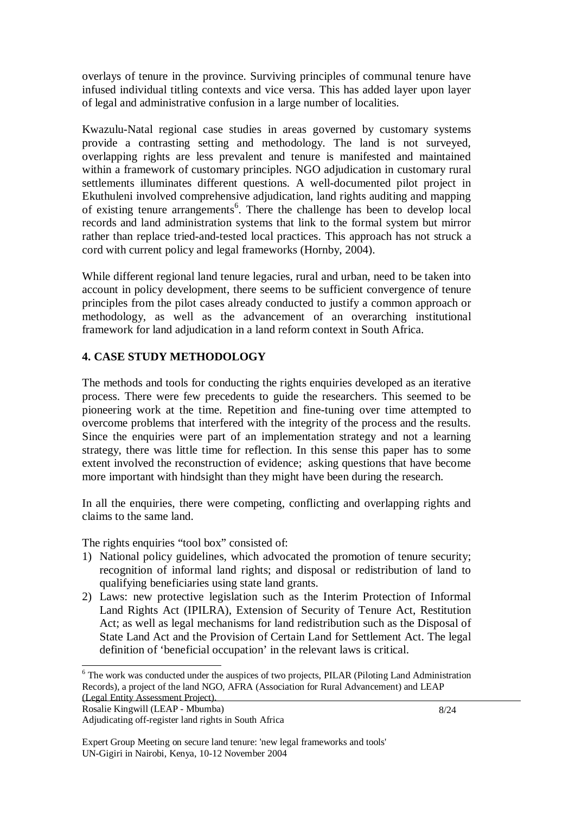overlays of tenure in the province. Surviving principles of communal tenure have infused individual titling contexts and vice versa. This has added layer upon layer of legal and administrative confusion in a large number of localities.

Kwazulu-Natal regional case studies in areas governed by customary systems provide a contrasting setting and methodology. The land is not surveyed, overlapping rights are less prevalent and tenure is manifested and maintained within a framework of customary principles. NGO adjudication in customary rural settlements illuminates different questions. A well-documented pilot project in Ekuthuleni involved comprehensive adjudication, land rights auditing and mapping of existing tenure arrangements<sup>6</sup>. There the challenge has been to develop local records and land administration systems that link to the formal system but mirror rather than replace tried-and-tested local practices. This approach has not struck a cord with current policy and legal frameworks (Hornby, 2004).

While different regional land tenure legacies, rural and urban, need to be taken into account in policy development, there seems to be sufficient convergence of tenure principles from the pilot cases already conducted to justify a common approach or methodology, as well as the advancement of an overarching institutional framework for land adjudication in a land reform context in South Africa.

### **4. CASE STUDY METHODOLOGY**

The methods and tools for conducting the rights enquiries developed as an iterative process. There were few precedents to guide the researchers. This seemed to be pioneering work at the time. Repetition and fine-tuning over time attempted to overcome problems that interfered with the integrity of the process and the results. Since the enquiries were part of an implementation strategy and not a learning strategy, there was little time for reflection. In this sense this paper has to some extent involved the reconstruction of evidence; asking questions that have become more important with hindsight than they might have been during the research.

In all the enquiries, there were competing, conflicting and overlapping rights and claims to the same land.

The rights enquiries "tool box" consisted of:

- 1) National policy guidelines, which advocated the promotion of tenure security; recognition of informal land rights; and disposal or redistribution of land to qualifying beneficiaries using state land grants.
- 2) Laws: new protective legislation such as the Interim Protection of Informal Land Rights Act (IPILRA), Extension of Security of Tenure Act, Restitution Act; as well as legal mechanisms for land redistribution such as the Disposal of State Land Act and the Provision of Certain Land for Settlement Act. The legal definition of 'beneficial occupation' in the relevant laws is critical.

l

<sup>&</sup>lt;sup>6</sup> The work was conducted under the auspices of two projects, PILAR (Piloting Land Administration Records), a project of the land NGO, AFRA (Association for Rural Advancement) and LEAP

Adjudicating off-register land rights in South Africa

Expert Group Meeting on secure land tenure: 'new legal frameworks and tools' UN-Gigiri in Nairobi, Kenya, 10-12 November 2004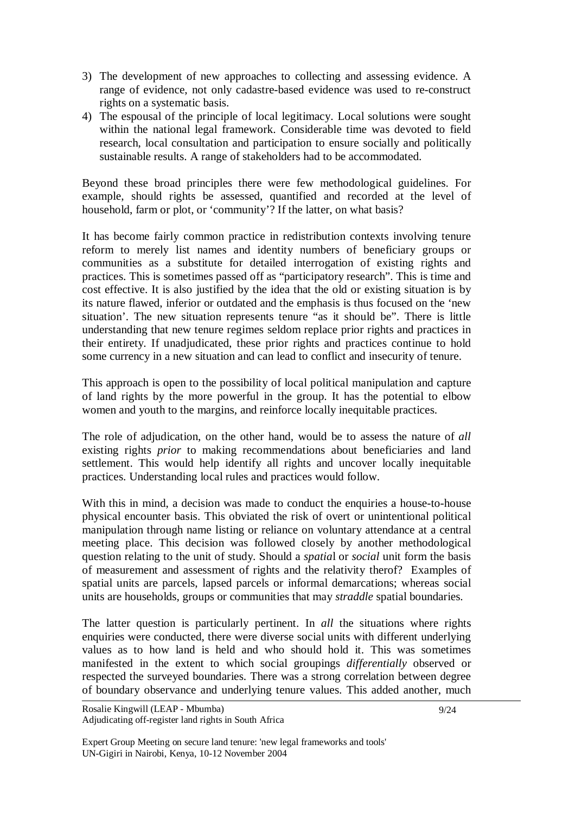- 3) The development of new approaches to collecting and assessing evidence. A range of evidence, not only cadastre-based evidence was used to re-construct rights on a systematic basis.
- 4) The espousal of the principle of local legitimacy. Local solutions were sought within the national legal framework. Considerable time was devoted to field research, local consultation and participation to ensure socially and politically sustainable results. A range of stakeholders had to be accommodated.

Beyond these broad principles there were few methodological guidelines. For example, should rights be assessed, quantified and recorded at the level of household, farm or plot, or 'community'? If the latter, on what basis?

It has become fairly common practice in redistribution contexts involving tenure reform to merely list names and identity numbers of beneficiary groups or communities as a substitute for detailed interrogation of existing rights and practices. This is sometimes passed off as "participatory research". This is time and cost effective. It is also justified by the idea that the old or existing situation is by its nature flawed, inferior or outdated and the emphasis is thus focused on the 'new situation'. The new situation represents tenure "as it should be". There is little understanding that new tenure regimes seldom replace prior rights and practices in their entirety. If unadjudicated, these prior rights and practices continue to hold some currency in a new situation and can lead to conflict and insecurity of tenure.

This approach is open to the possibility of local political manipulation and capture of land rights by the more powerful in the group. It has the potential to elbow women and youth to the margins, and reinforce locally inequitable practices.

The role of adjudication, on the other hand, would be to assess the nature of *all* existing rights *prior* to making recommendations about beneficiaries and land settlement. This would help identify all rights and uncover locally inequitable practices. Understanding local rules and practices would follow.

With this in mind, a decision was made to conduct the enquiries a house-to-house physical encounter basis. This obviated the risk of overt or unintentional political manipulation through name listing or reliance on voluntary attendance at a central meeting place. This decision was followed closely by another methodological question relating to the unit of study. Should a *spatia*l or *social* unit form the basis of measurement and assessment of rights and the relativity therof? Examples of spatial units are parcels, lapsed parcels or informal demarcations; whereas social units are households, groups or communities that may *straddle* spatial boundaries.

The latter question is particularly pertinent. In *all* the situations where rights enquiries were conducted, there were diverse social units with different underlying values as to how land is held and who should hold it. This was sometimes manifested in the extent to which social groupings *differentially* observed or respected the surveyed boundaries. There was a strong correlation between degree of boundary observance and underlying tenure values. This added another, much

Expert Group Meeting on secure land tenure: 'new legal frameworks and tools' UN-Gigiri in Nairobi, Kenya, 10-12 November 2004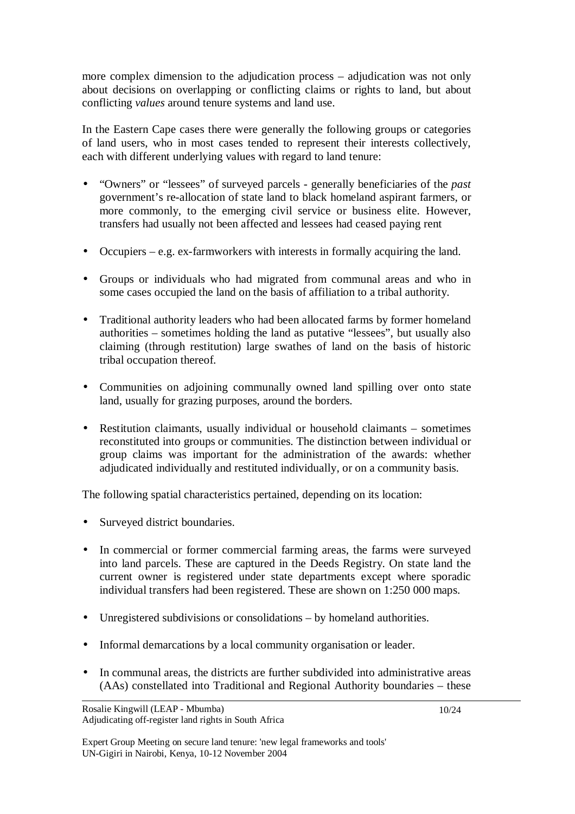more complex dimension to the adjudication process – adjudication was not only about decisions on overlapping or conflicting claims or rights to land, but about conflicting *values* around tenure systems and land use.

In the Eastern Cape cases there were generally the following groups or categories of land users, who in most cases tended to represent their interests collectively, each with different underlying values with regard to land tenure:

- "Owners" or "lessees" of surveyed parcels generally beneficiaries of the *past*  government's re-allocation of state land to black homeland aspirant farmers, or more commonly, to the emerging civil service or business elite. However, transfers had usually not been affected and lessees had ceased paying rent
- Occupiers e.g. ex-farmworkers with interests in formally acquiring the land.
- Groups or individuals who had migrated from communal areas and who in some cases occupied the land on the basis of affiliation to a tribal authority.
- Traditional authority leaders who had been allocated farms by former homeland authorities – sometimes holding the land as putative "lessees", but usually also claiming (through restitution) large swathes of land on the basis of historic tribal occupation thereof.
- Communities on adjoining communally owned land spilling over onto state land, usually for grazing purposes, around the borders.
- Restitution claimants, usually individual or household claimants sometimes reconstituted into groups or communities. The distinction between individual or group claims was important for the administration of the awards: whether adjudicated individually and restituted individually, or on a community basis.

The following spatial characteristics pertained, depending on its location:

- Surveyed district boundaries.
- In commercial or former commercial farming areas, the farms were surveyed into land parcels. These are captured in the Deeds Registry. On state land the current owner is registered under state departments except where sporadic individual transfers had been registered. These are shown on 1:250 000 maps.
- Unregistered subdivisions or consolidations by homeland authorities.
- Informal demarcations by a local community organisation or leader.
- In communal areas, the districts are further subdivided into administrative areas (AAs) constellated into Traditional and Regional Authority boundaries – these

Rosalie Kingwill (LEAP - Mbumba) Adjudicating off-register land rights in South Africa

Expert Group Meeting on secure land tenure: 'new legal frameworks and tools' UN-Gigiri in Nairobi, Kenya, 10-12 November 2004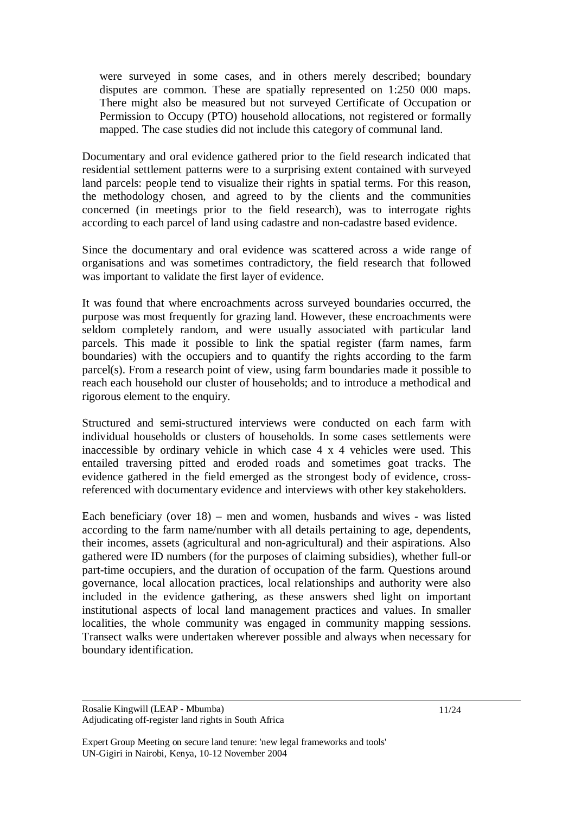were surveyed in some cases, and in others merely described; boundary disputes are common. These are spatially represented on 1:250 000 maps. There might also be measured but not surveyed Certificate of Occupation or Permission to Occupy (PTO) household allocations, not registered or formally mapped. The case studies did not include this category of communal land.

Documentary and oral evidence gathered prior to the field research indicated that residential settlement patterns were to a surprising extent contained with surveyed land parcels: people tend to visualize their rights in spatial terms. For this reason, the methodology chosen, and agreed to by the clients and the communities concerned (in meetings prior to the field research), was to interrogate rights according to each parcel of land using cadastre and non-cadastre based evidence.

Since the documentary and oral evidence was scattered across a wide range of organisations and was sometimes contradictory, the field research that followed was important to validate the first layer of evidence.

It was found that where encroachments across surveyed boundaries occurred, the purpose was most frequently for grazing land. However, these encroachments were seldom completely random, and were usually associated with particular land parcels. This made it possible to link the spatial register (farm names, farm boundaries) with the occupiers and to quantify the rights according to the farm parcel(s). From a research point of view, using farm boundaries made it possible to reach each household our cluster of households; and to introduce a methodical and rigorous element to the enquiry.

Structured and semi-structured interviews were conducted on each farm with individual households or clusters of households. In some cases settlements were inaccessible by ordinary vehicle in which case 4 x 4 vehicles were used. This entailed traversing pitted and eroded roads and sometimes goat tracks. The evidence gathered in the field emerged as the strongest body of evidence, crossreferenced with documentary evidence and interviews with other key stakeholders.

Each beneficiary (over 18) – men and women, husbands and wives - was listed according to the farm name/number with all details pertaining to age, dependents, their incomes, assets (agricultural and non-agricultural) and their aspirations. Also gathered were ID numbers (for the purposes of claiming subsidies), whether full-or part-time occupiers, and the duration of occupation of the farm. Questions around governance, local allocation practices, local relationships and authority were also included in the evidence gathering, as these answers shed light on important institutional aspects of local land management practices and values. In smaller localities, the whole community was engaged in community mapping sessions. Transect walks were undertaken wherever possible and always when necessary for boundary identification.

Expert Group Meeting on secure land tenure: 'new legal frameworks and tools' UN-Gigiri in Nairobi, Kenya, 10-12 November 2004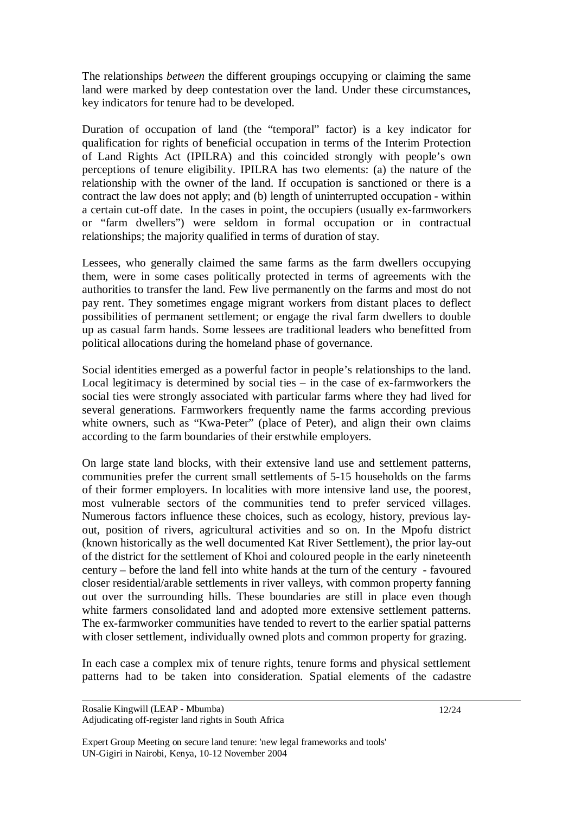The relationships *between* the different groupings occupying or claiming the same land were marked by deep contestation over the land. Under these circumstances, key indicators for tenure had to be developed.

Duration of occupation of land (the "temporal" factor) is a key indicator for qualification for rights of beneficial occupation in terms of the Interim Protection of Land Rights Act (IPILRA) and this coincided strongly with people's own perceptions of tenure eligibility. IPILRA has two elements: (a) the nature of the relationship with the owner of the land. If occupation is sanctioned or there is a contract the law does not apply; and (b) length of uninterrupted occupation - within a certain cut-off date. In the cases in point, the occupiers (usually ex-farmworkers or "farm dwellers") were seldom in formal occupation or in contractual relationships; the majority qualified in terms of duration of stay.

Lessees, who generally claimed the same farms as the farm dwellers occupying them, were in some cases politically protected in terms of agreements with the authorities to transfer the land. Few live permanently on the farms and most do not pay rent. They sometimes engage migrant workers from distant places to deflect possibilities of permanent settlement; or engage the rival farm dwellers to double up as casual farm hands. Some lessees are traditional leaders who benefitted from political allocations during the homeland phase of governance.

Social identities emerged as a powerful factor in people's relationships to the land. Local legitimacy is determined by social ties – in the case of ex-farmworkers the social ties were strongly associated with particular farms where they had lived for several generations. Farmworkers frequently name the farms according previous white owners, such as "Kwa-Peter" (place of Peter), and align their own claims according to the farm boundaries of their erstwhile employers.

On large state land blocks, with their extensive land use and settlement patterns, communities prefer the current small settlements of 5-15 households on the farms of their former employers. In localities with more intensive land use, the poorest, most vulnerable sectors of the communities tend to prefer serviced villages. Numerous factors influence these choices, such as ecology, history, previous layout, position of rivers, agricultural activities and so on. In the Mpofu district (known historically as the well documented Kat River Settlement), the prior lay-out of the district for the settlement of Khoi and coloured people in the early nineteenth century – before the land fell into white hands at the turn of the century - favoured closer residential/arable settlements in river valleys, with common property fanning out over the surrounding hills. These boundaries are still in place even though white farmers consolidated land and adopted more extensive settlement patterns. The ex-farmworker communities have tended to revert to the earlier spatial patterns with closer settlement, individually owned plots and common property for grazing.

In each case a complex mix of tenure rights, tenure forms and physical settlement patterns had to be taken into consideration. Spatial elements of the cadastre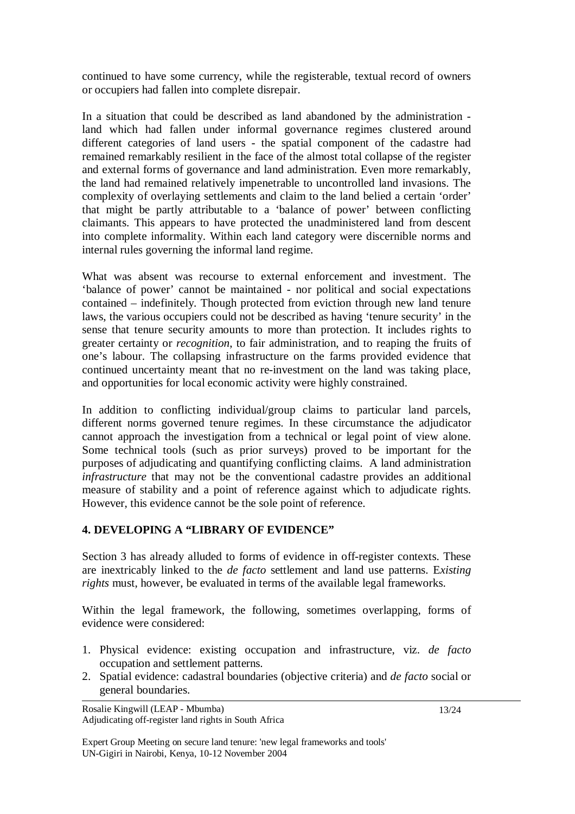continued to have some currency, while the registerable, textual record of owners or occupiers had fallen into complete disrepair.

In a situation that could be described as land abandoned by the administration land which had fallen under informal governance regimes clustered around different categories of land users - the spatial component of the cadastre had remained remarkably resilient in the face of the almost total collapse of the register and external forms of governance and land administration. Even more remarkably, the land had remained relatively impenetrable to uncontrolled land invasions. The complexity of overlaying settlements and claim to the land belied a certain 'order' that might be partly attributable to a 'balance of power' between conflicting claimants. This appears to have protected the unadministered land from descent into complete informality. Within each land category were discernible norms and internal rules governing the informal land regime.

What was absent was recourse to external enforcement and investment. The 'balance of power' cannot be maintained - nor political and social expectations contained – indefinitely. Though protected from eviction through new land tenure laws, the various occupiers could not be described as having 'tenure security' in the sense that tenure security amounts to more than protection. It includes rights to greater certainty or *recognition*, to fair administration, and to reaping the fruits of one's labour. The collapsing infrastructure on the farms provided evidence that continued uncertainty meant that no re-investment on the land was taking place, and opportunities for local economic activity were highly constrained.

In addition to conflicting individual/group claims to particular land parcels, different norms governed tenure regimes. In these circumstance the adjudicator cannot approach the investigation from a technical or legal point of view alone. Some technical tools (such as prior surveys) proved to be important for the purposes of adjudicating and quantifying conflicting claims. A land administration *infrastructure* that may not be the conventional cadastre provides an additional measure of stability and a point of reference against which to adjudicate rights. However, this evidence cannot be the sole point of reference.

## **4. DEVELOPING A "LIBRARY OF EVIDENCE"**

Section 3 has already alluded to forms of evidence in off-register contexts. These are inextricably linked to the *de facto* settlement and land use patterns. E*xisting rights* must, however, be evaluated in terms of the available legal frameworks.

Within the legal framework, the following, sometimes overlapping, forms of evidence were considered:

- 1. Physical evidence: existing occupation and infrastructure, viz. *de facto* occupation and settlement patterns.
- 2. Spatial evidence: cadastral boundaries (objective criteria) and *de facto* social or general boundaries.

Rosalie Kingwill (LEAP - Mbumba) Adjudicating off-register land rights in South Africa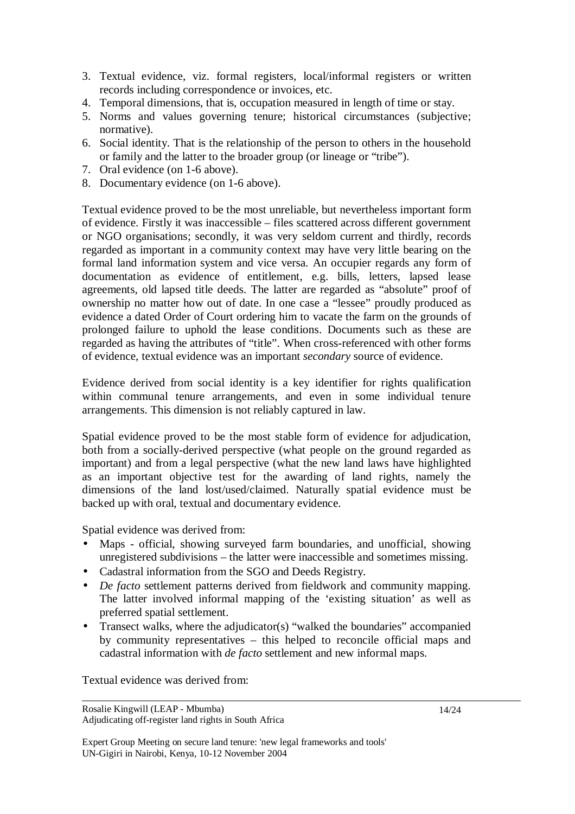- 3. Textual evidence, viz. formal registers, local/informal registers or written records including correspondence or invoices, etc.
- 4. Temporal dimensions, that is, occupation measured in length of time or stay.
- 5. Norms and values governing tenure; historical circumstances (subjective; normative).
- 6. Social identity. That is the relationship of the person to others in the household or family and the latter to the broader group (or lineage or "tribe").
- 7. Oral evidence (on 1-6 above).
- 8. Documentary evidence (on 1-6 above).

Textual evidence proved to be the most unreliable, but nevertheless important form of evidence. Firstly it was inaccessible – files scattered across different government or NGO organisations; secondly, it was very seldom current and thirdly, records regarded as important in a community context may have very little bearing on the formal land information system and vice versa. An occupier regards any form of documentation as evidence of entitlement, e.g. bills, letters, lapsed lease agreements, old lapsed title deeds. The latter are regarded as "absolute" proof of ownership no matter how out of date. In one case a "lessee" proudly produced as evidence a dated Order of Court ordering him to vacate the farm on the grounds of prolonged failure to uphold the lease conditions. Documents such as these are regarded as having the attributes of "title". When cross-referenced with other forms of evidence, textual evidence was an important *secondary* source of evidence.

Evidence derived from social identity is a key identifier for rights qualification within communal tenure arrangements, and even in some individual tenure arrangements. This dimension is not reliably captured in law.

Spatial evidence proved to be the most stable form of evidence for adjudication, both from a socially-derived perspective (what people on the ground regarded as important) and from a legal perspective (what the new land laws have highlighted as an important objective test for the awarding of land rights, namely the dimensions of the land lost/used/claimed. Naturally spatial evidence must be backed up with oral, textual and documentary evidence.

Spatial evidence was derived from:

- Maps official, showing surveyed farm boundaries, and unofficial, showing unregistered subdivisions – the latter were inaccessible and sometimes missing.
- Cadastral information from the SGO and Deeds Registry.
- *De facto* settlement patterns derived from fieldwork and community mapping. The latter involved informal mapping of the 'existing situation' as well as preferred spatial settlement.
- Transect walks, where the adjudicator(s) "walked the boundaries" accompanied by community representatives – this helped to reconcile official maps and cadastral information with *de facto* settlement and new informal maps.

Textual evidence was derived from:

Rosalie Kingwill (LEAP - Mbumba) Adjudicating off-register land rights in South Africa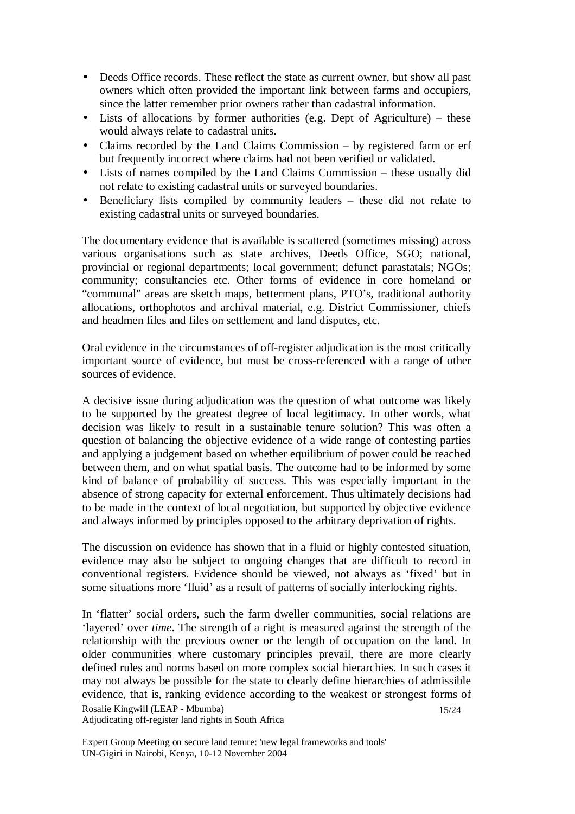- Deeds Office records. These reflect the state as current owner, but show all past owners which often provided the important link between farms and occupiers, since the latter remember prior owners rather than cadastral information.
- Lists of allocations by former authorities (e.g. Dept of Agriculture) these would always relate to cadastral units.
- Claims recorded by the Land Claims Commission by registered farm or erf but frequently incorrect where claims had not been verified or validated.
- Lists of names compiled by the Land Claims Commission these usually did not relate to existing cadastral units or surveyed boundaries.
- Beneficiary lists compiled by community leaders these did not relate to existing cadastral units or surveyed boundaries.

The documentary evidence that is available is scattered (sometimes missing) across various organisations such as state archives, Deeds Office, SGO; national, provincial or regional departments; local government; defunct parastatals; NGOs; community; consultancies etc. Other forms of evidence in core homeland or "communal" areas are sketch maps, betterment plans, PTO's, traditional authority allocations, orthophotos and archival material, e.g. District Commissioner, chiefs and headmen files and files on settlement and land disputes, etc.

Oral evidence in the circumstances of off-register adjudication is the most critically important source of evidence, but must be cross-referenced with a range of other sources of evidence.

A decisive issue during adjudication was the question of what outcome was likely to be supported by the greatest degree of local legitimacy. In other words, what decision was likely to result in a sustainable tenure solution? This was often a question of balancing the objective evidence of a wide range of contesting parties and applying a judgement based on whether equilibrium of power could be reached between them, and on what spatial basis. The outcome had to be informed by some kind of balance of probability of success. This was especially important in the absence of strong capacity for external enforcement. Thus ultimately decisions had to be made in the context of local negotiation, but supported by objective evidence and always informed by principles opposed to the arbitrary deprivation of rights.

The discussion on evidence has shown that in a fluid or highly contested situation, evidence may also be subject to ongoing changes that are difficult to record in conventional registers. Evidence should be viewed, not always as 'fixed' but in some situations more 'fluid' as a result of patterns of socially interlocking rights.

In 'flatter' social orders, such the farm dweller communities, social relations are 'layered' over *time*. The strength of a right is measured against the strength of the relationship with the previous owner or the length of occupation on the land. In older communities where customary principles prevail, there are more clearly defined rules and norms based on more complex social hierarchies. In such cases it may not always be possible for the state to clearly define hierarchies of admissible evidence, that is, ranking evidence according to the weakest or strongest forms of

Rosalie Kingwill (LEAP - Mbumba) Adjudicating off-register land rights in South Africa

15/24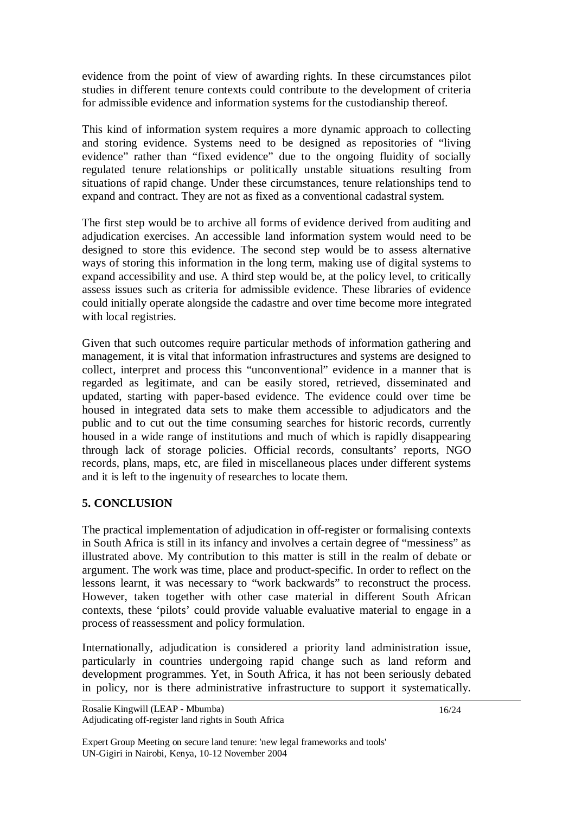evidence from the point of view of awarding rights. In these circumstances pilot studies in different tenure contexts could contribute to the development of criteria for admissible evidence and information systems for the custodianship thereof.

This kind of information system requires a more dynamic approach to collecting and storing evidence. Systems need to be designed as repositories of "living evidence" rather than "fixed evidence" due to the ongoing fluidity of socially regulated tenure relationships or politically unstable situations resulting from situations of rapid change. Under these circumstances, tenure relationships tend to expand and contract. They are not as fixed as a conventional cadastral system.

The first step would be to archive all forms of evidence derived from auditing and adjudication exercises. An accessible land information system would need to be designed to store this evidence. The second step would be to assess alternative ways of storing this information in the long term, making use of digital systems to expand accessibility and use. A third step would be, at the policy level, to critically assess issues such as criteria for admissible evidence. These libraries of evidence could initially operate alongside the cadastre and over time become more integrated with local registries.

Given that such outcomes require particular methods of information gathering and management, it is vital that information infrastructures and systems are designed to collect, interpret and process this "unconventional" evidence in a manner that is regarded as legitimate, and can be easily stored, retrieved, disseminated and updated, starting with paper-based evidence. The evidence could over time be housed in integrated data sets to make them accessible to adjudicators and the public and to cut out the time consuming searches for historic records, currently housed in a wide range of institutions and much of which is rapidly disappearing through lack of storage policies. Official records, consultants' reports, NGO records, plans, maps, etc, are filed in miscellaneous places under different systems and it is left to the ingenuity of researches to locate them.

## **5. CONCLUSION**

The practical implementation of adjudication in off-register or formalising contexts in South Africa is still in its infancy and involves a certain degree of "messiness" as illustrated above. My contribution to this matter is still in the realm of debate or argument. The work was time, place and product-specific. In order to reflect on the lessons learnt, it was necessary to "work backwards" to reconstruct the process. However, taken together with other case material in different South African contexts, these 'pilots' could provide valuable evaluative material to engage in a process of reassessment and policy formulation.

Internationally, adjudication is considered a priority land administration issue, particularly in countries undergoing rapid change such as land reform and development programmes. Yet, in South Africa, it has not been seriously debated in policy, nor is there administrative infrastructure to support it systematically.

Expert Group Meeting on secure land tenure: 'new legal frameworks and tools' UN-Gigiri in Nairobi, Kenya, 10-12 November 2004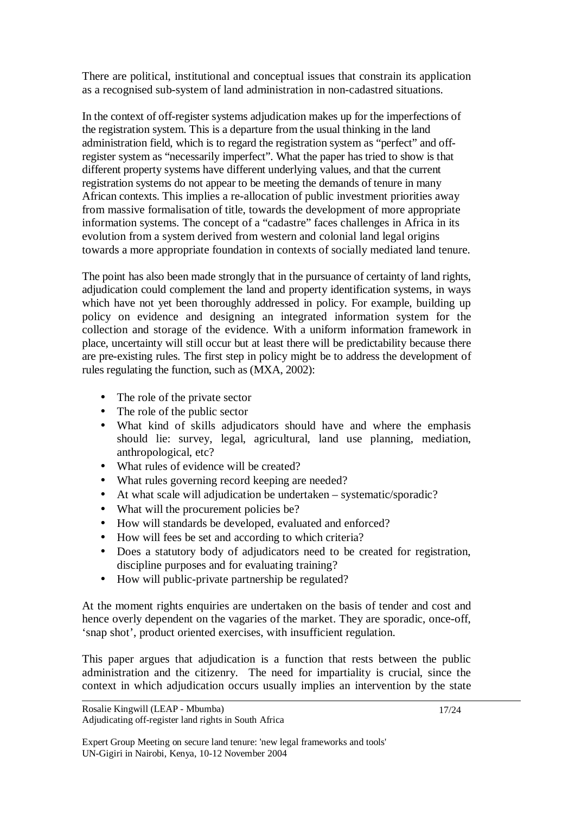There are political, institutional and conceptual issues that constrain its application as a recognised sub-system of land administration in non-cadastred situations.

In the context of off-register systems adjudication makes up for the imperfections of the registration system. This is a departure from the usual thinking in the land administration field, which is to regard the registration system as "perfect" and offregister system as "necessarily imperfect". What the paper has tried to show is that different property systems have different underlying values, and that the current registration systems do not appear to be meeting the demands of tenure in many African contexts. This implies a re-allocation of public investment priorities away from massive formalisation of title, towards the development of more appropriate information systems. The concept of a "cadastre" faces challenges in Africa in its evolution from a system derived from western and colonial land legal origins towards a more appropriate foundation in contexts of socially mediated land tenure.

The point has also been made strongly that in the pursuance of certainty of land rights, adjudication could complement the land and property identification systems, in ways which have not yet been thoroughly addressed in policy. For example, building up policy on evidence and designing an integrated information system for the collection and storage of the evidence. With a uniform information framework in place, uncertainty will still occur but at least there will be predictability because there are pre-existing rules. The first step in policy might be to address the development of rules regulating the function, such as (MXA, 2002):

- The role of the private sector
- The role of the public sector
- What kind of skills adjudicators should have and where the emphasis should lie: survey, legal, agricultural, land use planning, mediation, anthropological, etc?
- What rules of evidence will be created?
- What rules governing record keeping are needed?
- At what scale will adjudication be undertaken systematic/sporadic?
- What will the procurement policies be?
- How will standards be developed, evaluated and enforced?
- How will fees be set and according to which criteria?
- Does a statutory body of adjudicators need to be created for registration, discipline purposes and for evaluating training?
- How will public-private partnership be regulated?

At the moment rights enquiries are undertaken on the basis of tender and cost and hence overly dependent on the vagaries of the market. They are sporadic, once-off, 'snap shot', product oriented exercises, with insufficient regulation.

This paper argues that adjudication is a function that rests between the public administration and the citizenry. The need for impartiality is crucial, since the context in which adjudication occurs usually implies an intervention by the state

Rosalie Kingwill (LEAP - Mbumba) Adjudicating off-register land rights in South Africa

Expert Group Meeting on secure land tenure: 'new legal frameworks and tools' UN-Gigiri in Nairobi, Kenya, 10-12 November 2004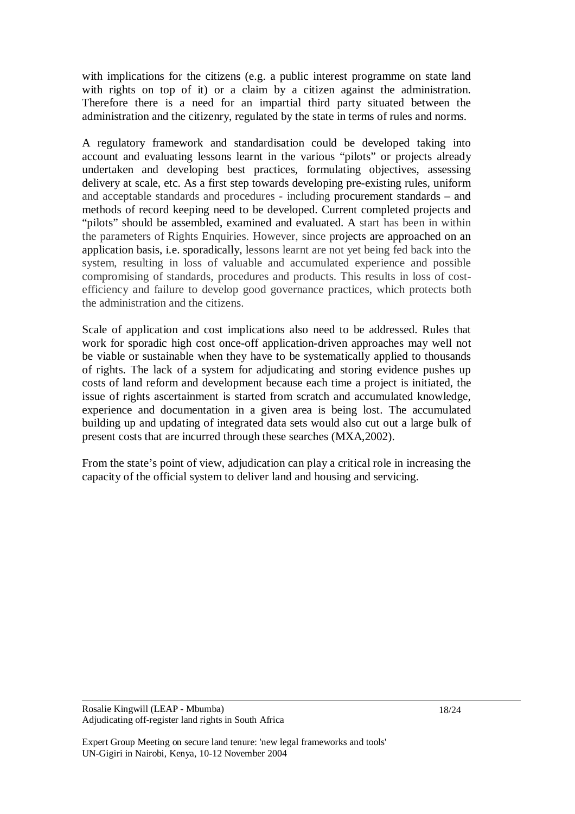with implications for the citizens (e.g. a public interest programme on state land with rights on top of it) or a claim by a citizen against the administration. Therefore there is a need for an impartial third party situated between the administration and the citizenry, regulated by the state in terms of rules and norms.

A regulatory framework and standardisation could be developed taking into account and evaluating lessons learnt in the various "pilots" or projects already undertaken and developing best practices, formulating objectives, assessing delivery at scale, etc. As a first step towards developing pre-existing rules, uniform and acceptable standards and procedures - including procurement standards – and methods of record keeping need to be developed. Current completed projects and "pilots" should be assembled, examined and evaluated. A start has been in within the parameters of Rights Enquiries. However, since projects are approached on an application basis, i.e. sporadically, lessons learnt are not yet being fed back into the system, resulting in loss of valuable and accumulated experience and possible compromising of standards, procedures and products. This results in loss of costefficiency and failure to develop good governance practices, which protects both the administration and the citizens.

Scale of application and cost implications also need to be addressed. Rules that work for sporadic high cost once-off application-driven approaches may well not be viable or sustainable when they have to be systematically applied to thousands of rights. The lack of a system for adjudicating and storing evidence pushes up costs of land reform and development because each time a project is initiated, the issue of rights ascertainment is started from scratch and accumulated knowledge, experience and documentation in a given area is being lost. The accumulated building up and updating of integrated data sets would also cut out a large bulk of present costs that are incurred through these searches (MXA,2002).

From the state's point of view, adjudication can play a critical role in increasing the capacity of the official system to deliver land and housing and servicing.

Expert Group Meeting on secure land tenure: 'new legal frameworks and tools' UN-Gigiri in Nairobi, Kenya, 10-12 November 2004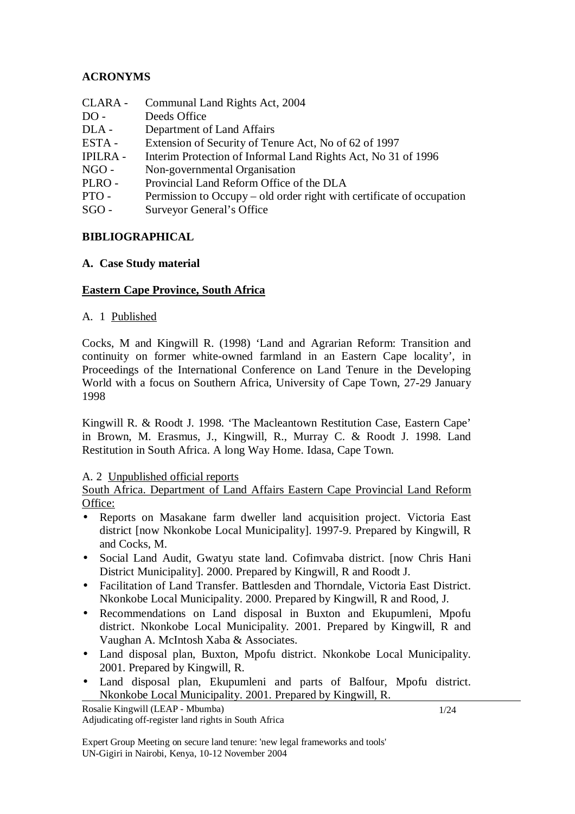# **ACRONYMS**

CLARA - Communal Land Rights Act, 2004 DO - Deeds Office DLA - Department of Land Affairs ESTA - Extension of Security of Tenure Act, No of 62 of 1997 IPILRA - Interim Protection of Informal Land Rights Act, No 31 of 1996 NGO - Non-governmental Organisation PLRO - Provincial Land Reform Office of the DLA PTO - Permission to Occupy – old order right with certificate of occupation SGO - Surveyor General's Office

## **BIBLIOGRAPHICAL**

### **A. Case Study material**

### **Eastern Cape Province, South Africa**

### A. 1 Published

Cocks, M and Kingwill R. (1998) 'Land and Agrarian Reform: Transition and continuity on former white-owned farmland in an Eastern Cape locality', in Proceedings of the International Conference on Land Tenure in the Developing World with a focus on Southern Africa, University of Cape Town, 27-29 January 1998

Kingwill R. & Roodt J. 1998. 'The Macleantown Restitution Case, Eastern Cape' in Brown, M. Erasmus, J., Kingwill, R., Murray C. & Roodt J. 1998. Land Restitution in South Africa. A long Way Home. Idasa, Cape Town.

### A. 2 Unpublished official reports

South Africa. Department of Land Affairs Eastern Cape Provincial Land Reform Office:

- Reports on Masakane farm dweller land acquisition project. Victoria East district [now Nkonkobe Local Municipality]. 1997-9. Prepared by Kingwill, R and Cocks, M.
- Social Land Audit, Gwatyu state land. Cofimvaba district. [now Chris Hani District Municipality]. 2000. Prepared by Kingwill, R and Roodt J.
- Facilitation of Land Transfer. Battlesden and Thorndale, Victoria East District. Nkonkobe Local Municipality. 2000. Prepared by Kingwill, R and Rood, J.
- Recommendations on Land disposal in Buxton and Ekupumleni, Mpofu district. Nkonkobe Local Municipality. 2001. Prepared by Kingwill, R and Vaughan A. McIntosh Xaba & Associates.
- Land disposal plan, Buxton, Mpofu district. Nkonkobe Local Municipality. 2001. Prepared by Kingwill, R.
- Land disposal plan, Ekupumleni and parts of Balfour, Mpofu district. Nkonkobe Local Municipality. 2001. Prepared by Kingwill, R.

Rosalie Kingwill (LEAP - Mbumba) Adjudicating off-register land rights in South Africa

1/24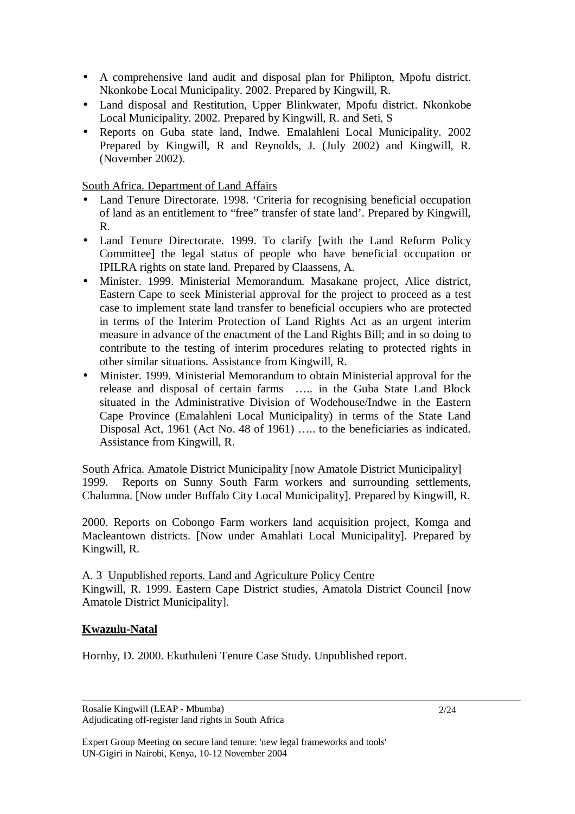- A comprehensive land audit and disposal plan for Philipton, Mpofu district. Nkonkobe Local Municipality. 2002. Prepared by Kingwill, R.
- Land disposal and Restitution, Upper Blinkwater, Mpofu district. Nkonkobe Local Municipality. 2002. Prepared by Kingwill, R. and Seti, S
- Reports on Guba state land, Indwe. Emalahleni Local Municipality. 2002 Prepared by Kingwill, R and Reynolds, J. (July 2002) and Kingwill, R. (November 2002).

South Africa. Department of Land Affairs

- Land Tenure Directorate. 1998. 'Criteria for recognising beneficial occupation of land as an entitlement to "free" transfer of state land'. Prepared by Kingwill, R.
- Land Tenure Directorate. 1999. To clarify [with the Land Reform Policy Committee] the legal status of people who have beneficial occupation or IPILRA rights on state land. Prepared by Claassens, A.
- Minister. 1999. Ministerial Memorandum. Masakane project, Alice district, Eastern Cape to seek Ministerial approval for the project to proceed as a test case to implement state land transfer to beneficial occupiers who are protected in terms of the Interim Protection of Land Rights Act as an urgent interim measure in advance of the enactment of the Land Rights Bill; and in so doing to contribute to the testing of interim procedures relating to protected rights in other similar situations. Assistance from Kingwill, R.
- Minister. 1999. Ministerial Memorandum to obtain Ministerial approval for the release and disposal of certain farms ….. in the Guba State Land Block situated in the Administrative Division of Wodehouse/Indwe in the Eastern Cape Province (Emalahleni Local Municipality) in terms of the State Land Disposal Act, 1961 (Act No. 48 of 1961) ….. to the beneficiaries as indicated. Assistance from Kingwill, R.

South Africa. Amatole District Municipality [now Amatole District Municipality] 1999. Reports on Sunny South Farm workers and surrounding settlements, Chalumna. [Now under Buffalo City Local Municipality]. Prepared by Kingwill, R.

2000. Reports on Cobongo Farm workers land acquisition project, Komga and Macleantown districts. [Now under Amahlati Local Municipality]. Prepared by Kingwill, R.

A. 3 Unpublished reports. Land and Agriculture Policy Centre Kingwill, R. 1999. Eastern Cape District studies, Amatola District Council [now Amatole District Municipality].

## **Kwazulu-Natal**

Hornby, D. 2000. Ekuthuleni Tenure Case Study. Unpublished report.

Rosalie Kingwill (LEAP - Mbumba) Adjudicating off-register land rights in South Africa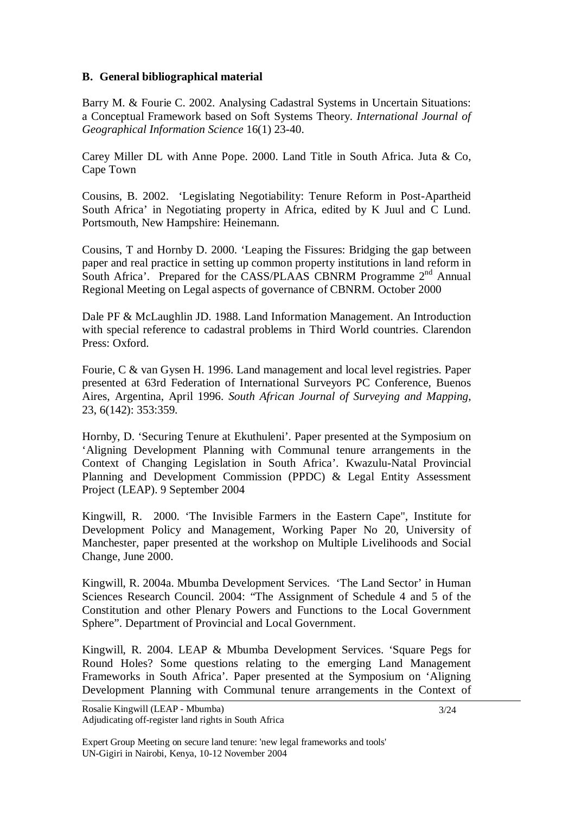### **B. General bibliographical material**

Barry M. & Fourie C. 2002. Analysing Cadastral Systems in Uncertain Situations: a Conceptual Framework based on Soft Systems Theory. *International Journal of Geographical Information Science* 16(1) 23-40.

Carey Miller DL with Anne Pope. 2000. Land Title in South Africa. Juta & Co, Cape Town

Cousins, B. 2002. 'Legislating Negotiability: Tenure Reform in Post-Apartheid South Africa' in Negotiating property in Africa, edited by K Juul and C Lund. Portsmouth, New Hampshire: Heinemann.

Cousins, T and Hornby D. 2000. 'Leaping the Fissures: Bridging the gap between paper and real practice in setting up common property institutions in land reform in South Africa'. Prepared for the CASS/PLAAS CBNRM Programme 2<sup>nd</sup> Annual Regional Meeting on Legal aspects of governance of CBNRM. October 2000

Dale PF & McLaughlin JD. 1988. Land Information Management. An Introduction with special reference to cadastral problems in Third World countries. Clarendon Press: Oxford.

Fourie, C & van Gysen H. 1996. Land management and local level registries. Paper presented at 63rd Federation of International Surveyors PC Conference, Buenos Aires, Argentina, April 1996. *South African Journal of Surveying and Mapping*, 23, 6(142): 353:359.

Hornby, D. 'Securing Tenure at Ekuthuleni'. Paper presented at the Symposium on 'Aligning Development Planning with Communal tenure arrangements in the Context of Changing Legislation in South Africa'. Kwazulu-Natal Provincial Planning and Development Commission (PPDC) & Legal Entity Assessment Project (LEAP). 9 September 2004

Kingwill, R. 2000. 'The Invisible Farmers in the Eastern Cape", Institute for Development Policy and Management, Working Paper No 20, University of Manchester, paper presented at the workshop on Multiple Livelihoods and Social Change, June 2000.

Kingwill, R. 2004a. Mbumba Development Services. 'The Land Sector' in Human Sciences Research Council. 2004: "The Assignment of Schedule 4 and 5 of the Constitution and other Plenary Powers and Functions to the Local Government Sphere". Department of Provincial and Local Government.

Kingwill, R. 2004. LEAP & Mbumba Development Services. 'Square Pegs for Round Holes? Some questions relating to the emerging Land Management Frameworks in South Africa'. Paper presented at the Symposium on 'Aligning Development Planning with Communal tenure arrangements in the Context of

Expert Group Meeting on secure land tenure: 'new legal frameworks and tools' UN-Gigiri in Nairobi, Kenya, 10-12 November 2004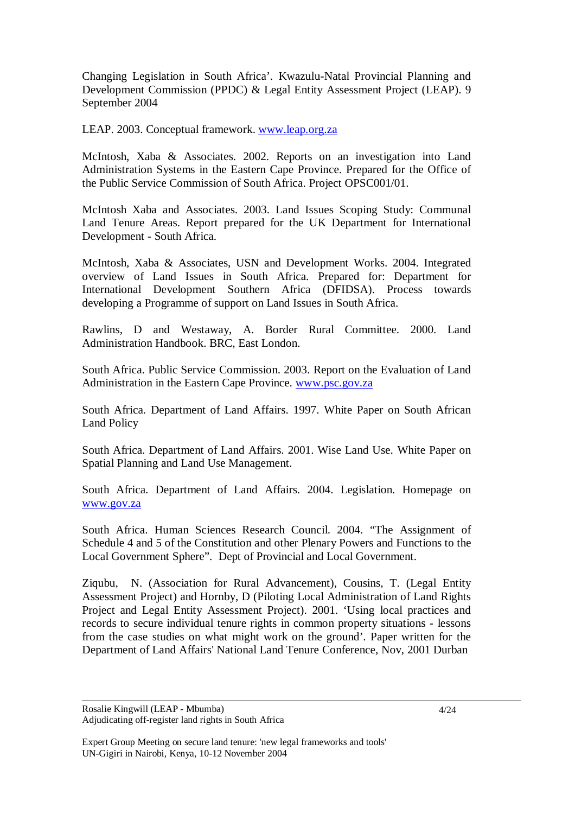Changing Legislation in South Africa'. Kwazulu-Natal Provincial Planning and Development Commission (PPDC) & Legal Entity Assessment Project (LEAP). 9 September 2004

LEAP. 2003. Conceptual framework. www.leap.org.za

McIntosh, Xaba & Associates. 2002. Reports on an investigation into Land Administration Systems in the Eastern Cape Province. Prepared for the Office of the Public Service Commission of South Africa. Project OPSC001/01.

McIntosh Xaba and Associates. 2003. Land Issues Scoping Study: Communal Land Tenure Areas. Report prepared for the UK Department for International Development - South Africa.

McIntosh, Xaba & Associates, USN and Development Works. 2004. Integrated overview of Land Issues in South Africa. Prepared for: Department for International Development Southern Africa (DFIDSA). Process towards developing a Programme of support on Land Issues in South Africa.

Rawlins, D and Westaway, A. Border Rural Committee. 2000. Land Administration Handbook. BRC, East London.

South Africa. Public Service Commission. 2003. Report on the Evaluation of Land Administration in the Eastern Cape Province. www.psc.gov.za

South Africa. Department of Land Affairs. 1997. White Paper on South African Land Policy

South Africa. Department of Land Affairs. 2001. Wise Land Use. White Paper on Spatial Planning and Land Use Management.

South Africa. Department of Land Affairs. 2004. Legislation. Homepage on www.gov.za

South Africa. Human Sciences Research Council. 2004. "The Assignment of Schedule 4 and 5 of the Constitution and other Plenary Powers and Functions to the Local Government Sphere". Dept of Provincial and Local Government.

Ziqubu, N. (Association for Rural Advancement), Cousins, T. (Legal Entity Assessment Project) and Hornby, D (Piloting Local Administration of Land Rights Project and Legal Entity Assessment Project). 2001. 'Using local practices and records to secure individual tenure rights in common property situations - lessons from the case studies on what might work on the ground'. Paper written for the Department of Land Affairs' National Land Tenure Conference, Nov, 2001 Durban

Rosalie Kingwill (LEAP - Mbumba) Adjudicating off-register land rights in South Africa

Expert Group Meeting on secure land tenure: 'new legal frameworks and tools' UN-Gigiri in Nairobi, Kenya, 10-12 November 2004